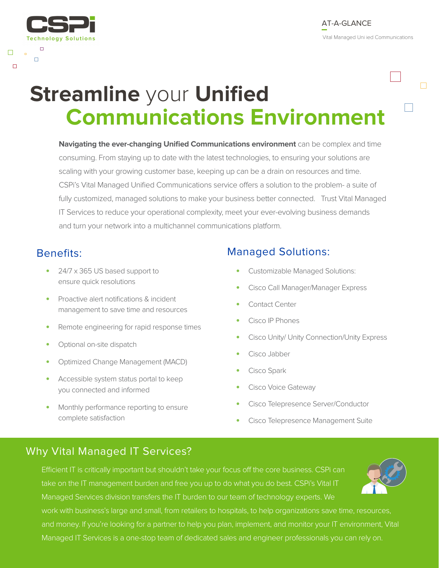# **Streamline** your **Unified Communications Environment**

**Navigating the ever-changing Unified Communications environment** can be complex and time consuming. From staying up to date with the latest technologies, to ensuring your solutions are scaling with your growing customer base, keeping up can be a drain on resources and time. CSPi's Vital Managed Unified Communications service offers a solution to the problem- a suite of fully customized, managed solutions to make your business better connected. Trust Vital Managed IT Services to reduce your operational complexity, meet your ever-evolving business demands and turn your network into a multichannel communications platform.

Technology Solutions

 $\Box$ 

Ò

 $\Box$ 

 $\Box$ 

- **•** 24/7 x 365 US based support to ensure quick resolutions
- **•** Proactive alert notifications & incident management to save time and resources
- **•** Remote engineering for rapid response times
- **•** Optional on-site dispatch
- **•** Optimized Change Management (MACD)
- **•** Accessible system status portal to keep you connected and informed
- **•** Monthly performance reporting to ensure complete satisfaction

## Benefits: Managed Solutions:

- **•** Customizable Managed Solutions:
- **•** Cisco Call Manager/Manager Express
- **•** Contact Center
- **•** Cisco IP Phones
- **•** Cisco Unity/ Unity Connection/Unity Express
- **•** Cisco Jabber
- **•** Cisco Spark
- **•** Cisco Voice Gateway
- **•** Cisco Telepresence Server/Conductor
- **•** Cisco Telepresence Management Suite

## Why Vital Managed IT Services?

Efficient IT is critically important but shouldn't take your focus off the core business. CSPi can take on the IT management burden and free you up to do what you do best. CSPi's Vital IT Managed Services division transfers the IT burden to our team of technology experts. We work with business's large and small, from retailers to hospitals, to help organizations save time, resources, and money. If you're looking for a partner to help you plan, implement, and monitor your IT environment, Vital Managed IT Services is a one-stop team of dedicated sales and engineer professionals you can rely on.